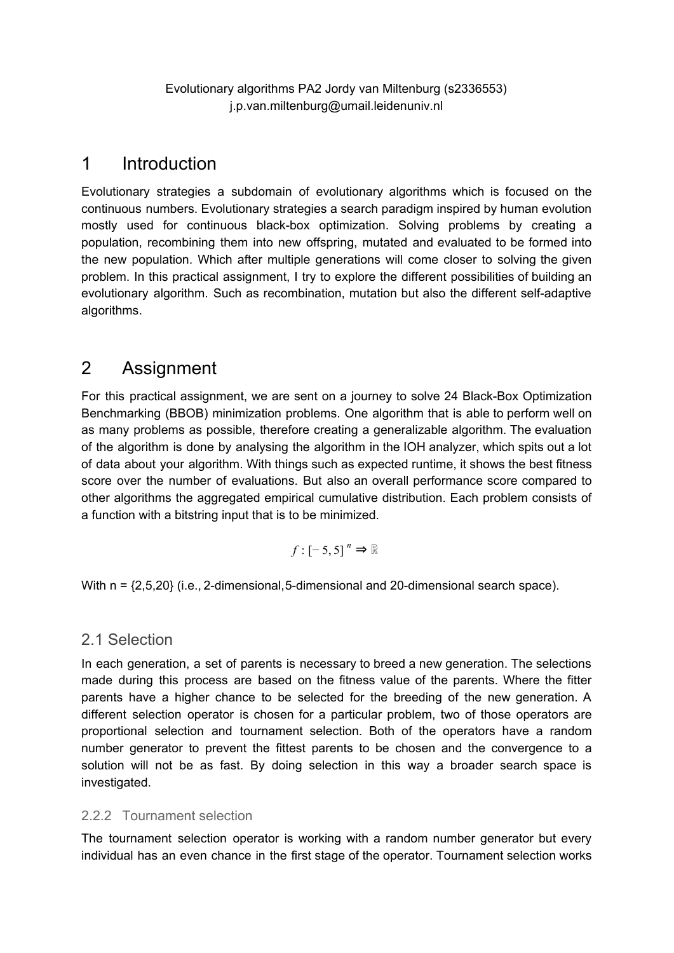Evolutionary algorithms PA2 Jordy van Miltenburg (s2336553) j.p.van.miltenburg@umail.leidenuniv.nl

## 1 Introduction

Evolutionary strategies a subdomain of evolutionary algorithms which is focused on the continuous numbers. Evolutionary strategies a search paradigm inspired by human evolution mostly used for continuous black-box optimization. Solving problems by creating a population, recombining them into new offspring, mutated and evaluated to be formed into the new population. Which after multiple generations will come closer to solving the given problem. In this practical assignment, I try to explore the different possibilities of building an evolutionary algorithm. Such as recombination, mutation but also the different self-adaptive algorithms.

# 2 Assignment

For this practical assignment, we are sent on a journey to solve 24 Black-Box Optimization Benchmarking (BBOB) minimization problems. One algorithm that is able to perform well on as many problems as possible, therefore creating a generalizable algorithm. The evaluation of the algorithm is done by analysing the algorithm in the IOH analyzer, which spits out a lot of data about your algorithm. With things such as expected runtime, it shows the best fitness score over the number of evaluations. But also an overall performance score compared to other algorithms the aggregated empirical cumulative distribution. Each problem consists of a function with a bitstring input that is to be minimized.

$$
f: [-5, 5]^n \Rightarrow \mathbb{R}
$$

With n =  $\{2,5,20\}$  (i.e., 2-dimensional, 5-dimensional and 20-dimensional search space).

## 2.1 Selection

In each generation, a set of parents is necessary to breed a new generation. The selections made during this process are based on the fitness value of the parents. Where the fitter parents have a higher chance to be selected for the breeding of the new generation. A different selection operator is chosen for a particular problem, two of those operators are proportional selection and tournament selection. Both of the operators have a random number generator to prevent the fittest parents to be chosen and the convergence to a solution will not be as fast. By doing selection in this way a broader search space is investigated.

### 2.2.2 Tournament selection

The tournament selection operator is working with a random number generator but every individual has an even chance in the first stage of the operator. Tournament selection works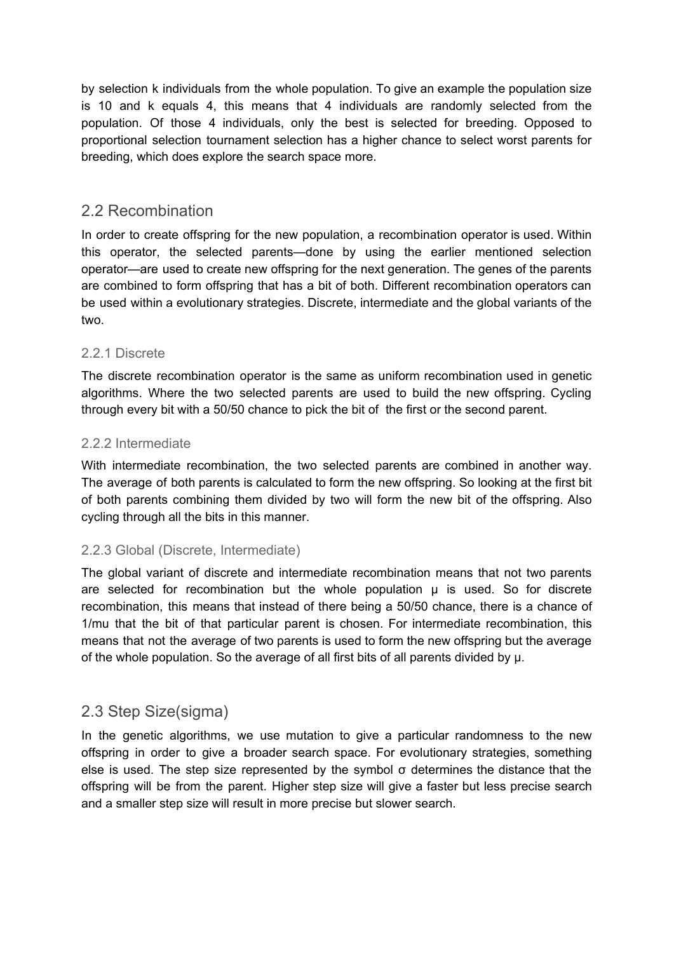by selection k individuals from the whole population. To give an example the population size is 10 and k equals 4, this means that 4 individuals are randomly selected from the population. Of those 4 individuals, only the best is selected for breeding. Opposed to proportional selection tournament selection has a higher chance to select worst parents for breeding, which does explore the search space more.

## 2.2 Recombination

In order to create offspring for the new population, a recombination operator is used. Within this operator, the selected parents—done by using the earlier mentioned selection operator—are used to create new offspring for the next generation. The genes of the parents are combined to form offspring that has a bit of both. Different recombination operators can be used within a evolutionary strategies. Discrete, intermediate and the global variants of the two.

#### 2.2.1 Discrete

The discrete recombination operator is the same as uniform recombination used in genetic algorithms. Where the two selected parents are used to build the new offspring. Cycling through every bit with a 50/50 chance to pick the bit of the first or the second parent.

#### 2.2.2 Intermediate

With intermediate recombination, the two selected parents are combined in another way. The average of both parents is calculated to form the new offspring. So looking at the first bit of both parents combining them divided by two will form the new bit of the offspring. Also cycling through all the bits in this manner.

#### 2.2.3 Global (Discrete, Intermediate)

The global variant of discrete and intermediate recombination means that not two parents are selected for recombination but the whole population  $\mu$  is used. So for discrete recombination, this means that instead of there being a 50/50 chance, there is a chance of 1/mu that the bit of that particular parent is chosen. For intermediate recombination, this means that not the average of two parents is used to form the new offspring but the average of the whole population. So the average of all first bits of all parents divided by μ.

### 2.3 Step Size(sigma)

In the genetic algorithms, we use mutation to give a particular randomness to the new offspring in order to give a broader search space. For evolutionary strategies, something else is used. The step size represented by the symbol  $\sigma$  determines the distance that the offspring will be from the parent. Higher step size will give a faster but less precise search and a smaller step size will result in more precise but slower search.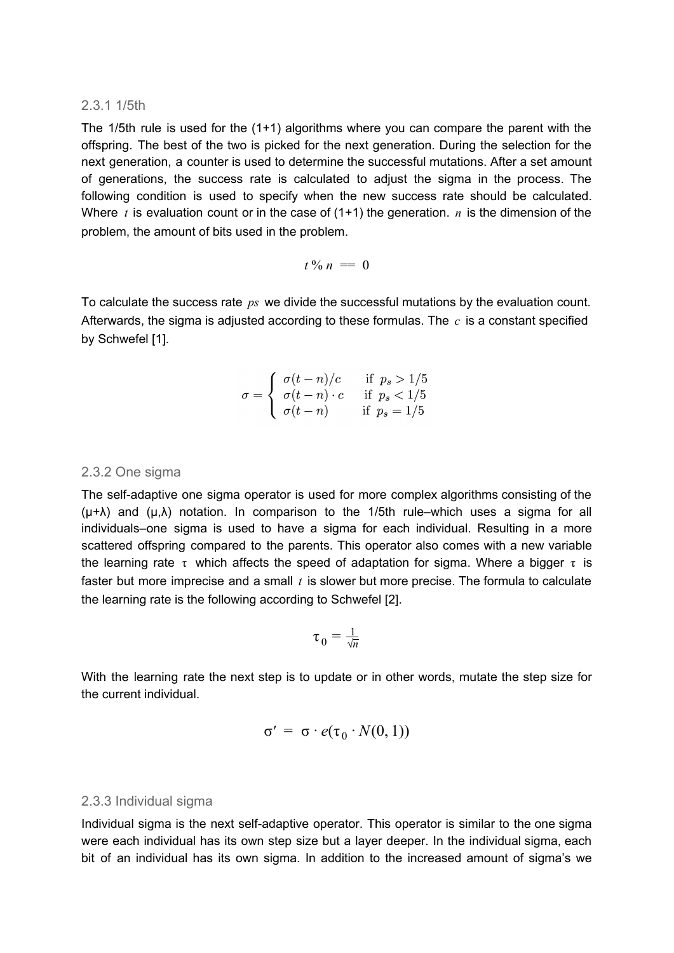#### 2.3.1 1/5th

The 1/5th rule is used for the (1+1) algorithms where you can compare the parent with the offspring. The best of the two is picked for the next generation. During the selection for the next generation, a counter is used to determine the successful mutations. After a set amount of generations, the success rate is calculated to adjust the sigma in the process. The following condition is used to specify when the new success rate should be calculated. Where  $t$  is evaluation count or in the case of  $(1+1)$  the generation.  $n$  is the dimension of the problem, the amount of bits used in the problem.

$$
t\,\%\,n\,=\,0
$$

To calculate the success rate *ps* we divide the successful mutations by the evaluation count. Afterwards, the sigma is adjusted according to these formulas. The *c* is a constant specified by Schwefel [1].

$$
\sigma = \begin{cases}\n\sigma(t-n)/c & \text{if } p_s > 1/5 \\
\sigma(t-n) \cdot c & \text{if } p_s < 1/5 \\
\sigma(t-n) & \text{if } p_s = 1/5\n\end{cases}
$$

#### 2.3.2 One sigma

The self-adaptive one sigma operator is used for more complex algorithms consisting of the  $(\mu+\lambda)$  and  $(\mu,\lambda)$  notation. In comparison to the 1/5th rule–which uses a sigma for all individuals–one sigma is used to have a sigma for each individual. Resulting in a more scattered offspring compared to the parents. This operator also comes with a new variable the learning rate  $\tau$  which affects the speed of adaptation for sigma. Where a bigger  $\tau$  is faster but more imprecise and a small *t* is slower but more precise. The formula to calculate the learning rate is the following according to Schwefel [2].

$$
\tau_0 = \frac{1}{\sqrt{n}}
$$

With the learning rate the next step is to update or in other words, mutate the step size for the current individual.

$$
\sigma' = \sigma \cdot e(\tau_0 \cdot N(0, 1))
$$

#### 2.3.3 Individual sigma

Individual sigma is the next self-adaptive operator. This operator is similar to the one sigma were each individual has its own step size but a layer deeper. In the individual sigma, each bit of an individual has its own sigma. In addition to the increased amount of sigma's we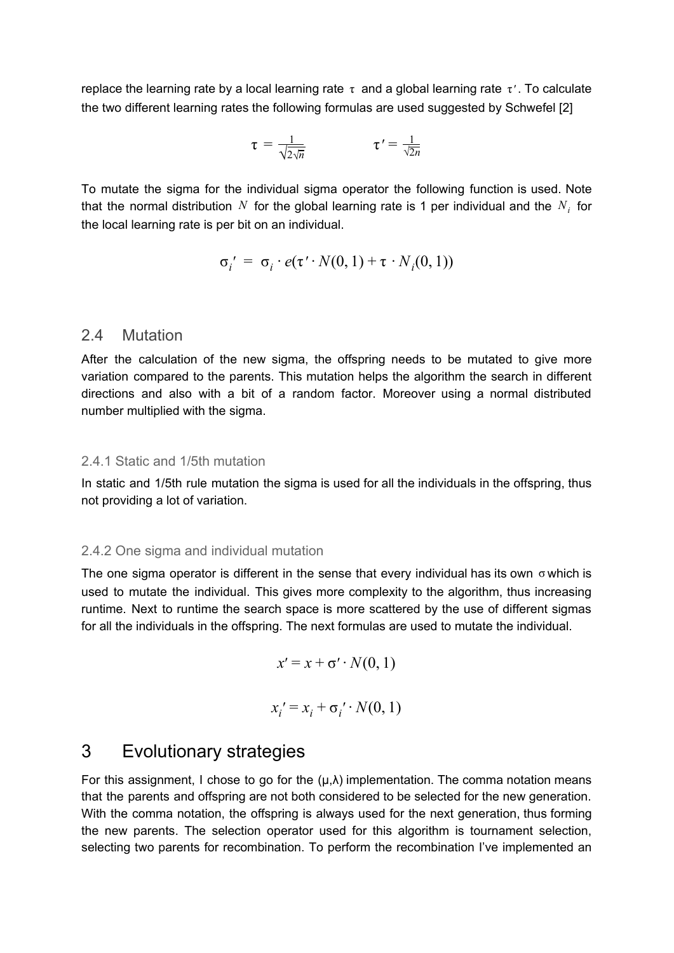replace the learning rate by a local learning rate  $\tau$  and a global learning rate  $\tau'$ . To calculate the two different learning rates the following formulas are used suggested by Schwefel [2]

$$
\tau = \frac{1}{\sqrt{2\sqrt{n}}} \qquad \qquad \tau' = \frac{1}{\sqrt{2n}}
$$

To mutate the sigma for the individual sigma operator the following function is used. Note that the normal distribution  $N$  for the global learning rate is 1 per individual and the  $N_i$  for the local learning rate is per bit on an individual.

$$
\sigma_i' = \sigma_i \cdot e(\tau' \cdot N(0, 1) + \tau \cdot N_i(0, 1))
$$

#### 2.4 Mutation

After the calculation of the new sigma, the offspring needs to be mutated to give more variation compared to the parents. This mutation helps the algorithm the search in different directions and also with a bit of a random factor. Moreover using a normal distributed number multiplied with the sigma.

#### 2.4.1 Static and 1/5th mutation

In static and 1/5th rule mutation the sigma is used for all the individuals in the offspring, thus not providing a lot of variation.

#### 2.4.2 One sigma and individual mutation

The one sigma operator is different in the sense that every individual has its own  $\sigma$  which is used to mutate the individual. This gives more complexity to the algorithm, thus increasing runtime. Next to runtime the search space is more scattered by the use of different sigmas for all the individuals in the offspring. The next formulas are used to mutate the individual.

$$
x' = x + \sigma' \cdot N(0, 1)
$$

$$
x_i' = x_i + \sigma_i' \cdot N(0, 1)
$$

## 3 Evolutionary strategies

For this assignment, I chose to go for the  $(\mu, \lambda)$  implementation. The comma notation means that the parents and offspring are not both considered to be selected for the new generation. With the comma notation, the offspring is always used for the next generation, thus forming the new parents. The selection operator used for this algorithm is tournament selection, selecting two parents for recombination. To perform the recombination I've implemented an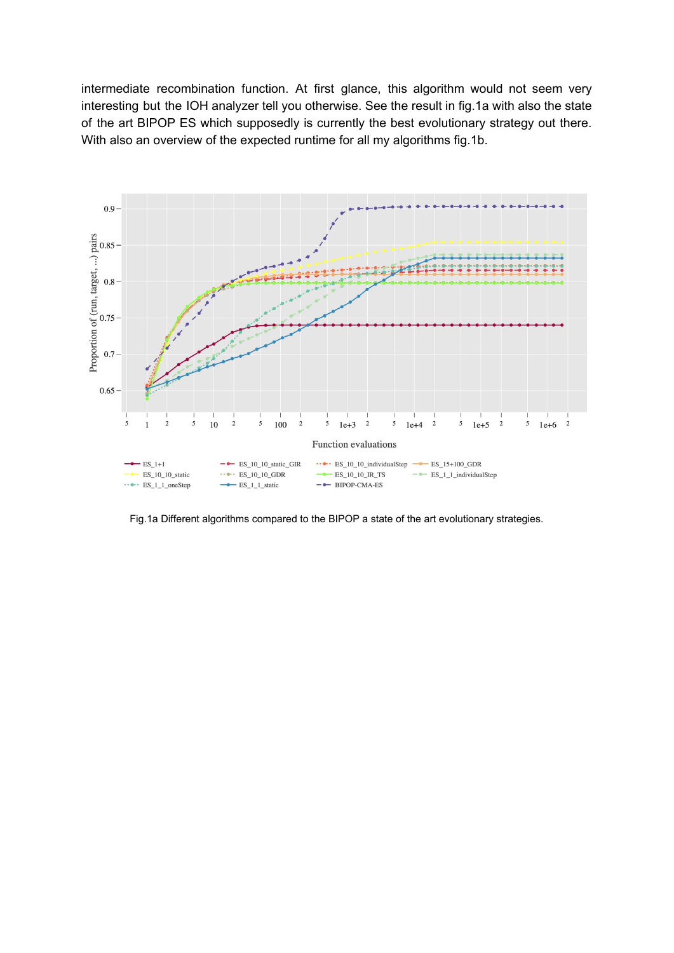intermediate recombination function. At first glance, this algorithm would not seem very interesting but the IOH analyzer tell you otherwise. See the result in fig.1a with also the state of the art BIPOP ES which supposedly is currently the best evolutionary strategy out there. With also an overview of the expected runtime for all my algorithms fig.1b.



Fig.1a Different algorithms compared to the BIPOP a state of the art evolutionary strategies.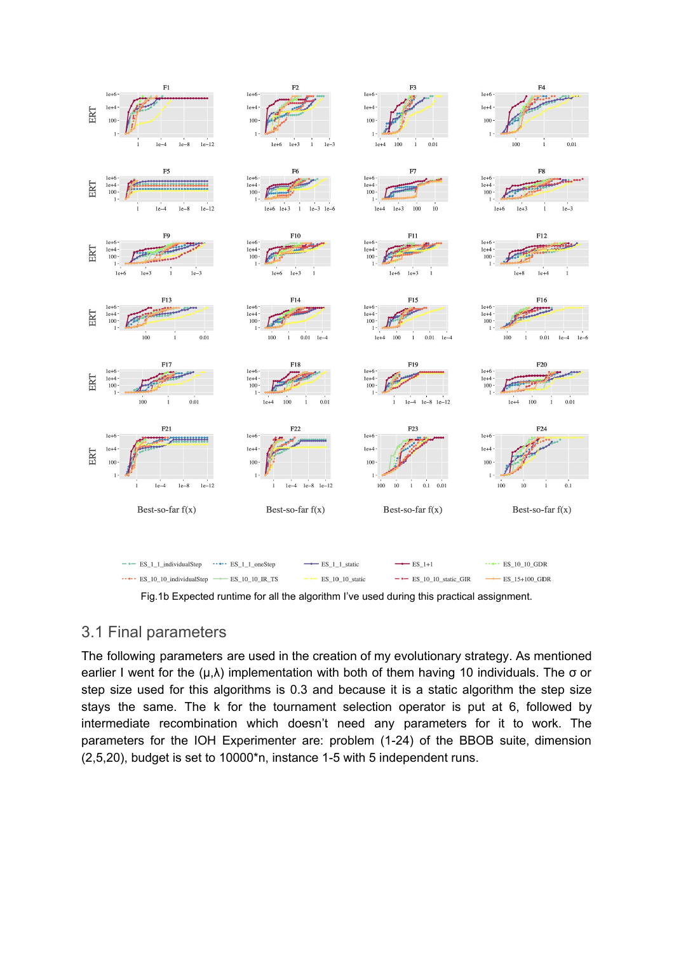

Fig.1b Expected runtime for all the algorithm I've used during this practical assignment.

### 3.1 Final parameters

The following parameters are used in the creation of my evolutionary strategy. As mentioned earlier I went for the  $(\mu, \lambda)$  implementation with both of them having 10 individuals. The  $\sigma$  or step size used for this algorithms is 0.3 and because it is a static algorithm the step size stays the same. The k for the tournament selection operator is put at 6, followed by intermediate recombination which doesn't need any parameters for it to work. The parameters for the IOH Experimenter are: problem (1-24) of the BBOB suite, dimension (2,5,20), budget is set to 10000\*n, instance 1-5 with 5 independent runs.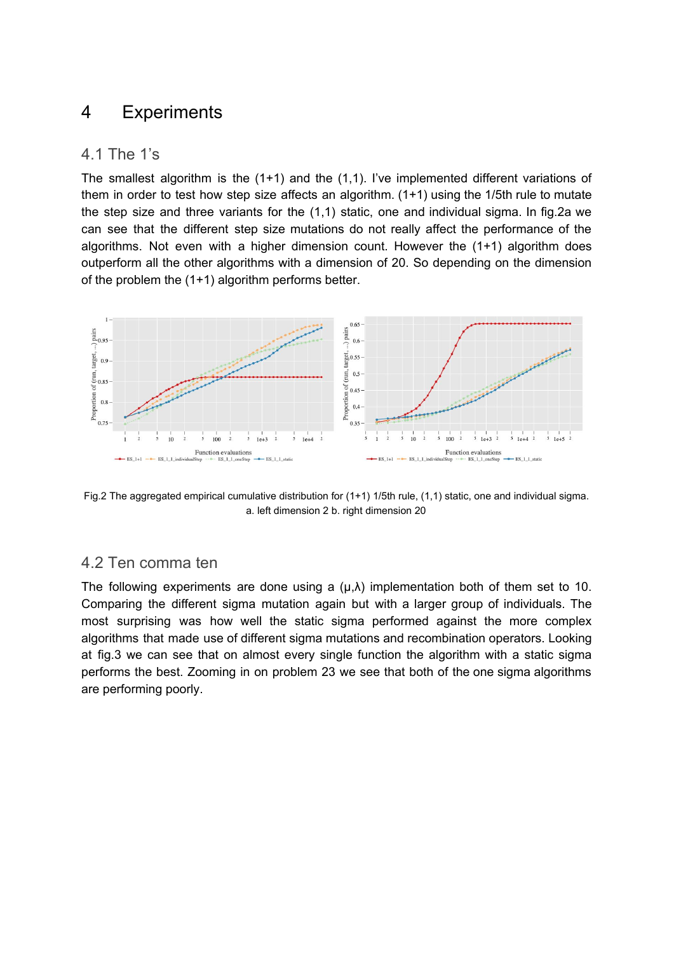## 4 Experiments

### 4.1 The 1's

The smallest algorithm is the (1+1) and the (1,1). I've implemented different variations of them in order to test how step size affects an algorithm.  $(1+1)$  using the 1/5th rule to mutate the step size and three variants for the (1,1) static, one and individual sigma. In fig.2a we can see that the different step size mutations do not really affect the performance of the algorithms. Not even with a higher dimension count. However the (1+1) algorithm does outperform all the other algorithms with a dimension of 20. So depending on the dimension of the problem the (1+1) algorithm performs better.



Fig.2 The aggregated empirical cumulative distribution for (1+1) 1/5th rule, (1,1) static, one and individual sigma. a. left dimension 2 b. right dimension 20

## 4.2 Ten comma ten

The following experiments are done using a  $(\mu, \lambda)$  implementation both of them set to 10. Comparing the different sigma mutation again but with a larger group of individuals. The most surprising was how well the static sigma performed against the more complex algorithms that made use of different sigma mutations and recombination operators. Looking at fig.3 we can see that on almost every single function the algorithm with a static sigma performs the best. Zooming in on problem 23 we see that both of the one sigma algorithms are performing poorly.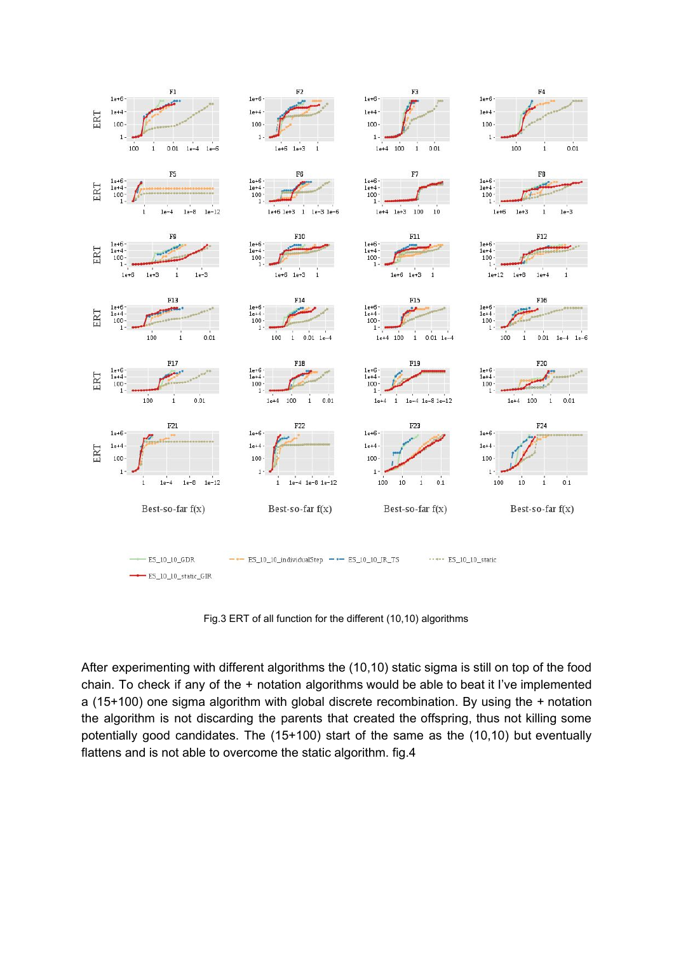

Fig.3 ERT of all function for the different (10,10) algorithms

After experimenting with different algorithms the (10,10) static sigma is still on top of the food chain. To check if any of the + notation algorithms would be able to beat it I've implemented a (15+100) one sigma algorithm with global discrete recombination. By using the + notation the algorithm is not discarding the parents that created the offspring, thus not killing some potentially good candidates. The (15+100) start of the same as the (10,10) but eventually flattens and is not able to overcome the static algorithm. fig.4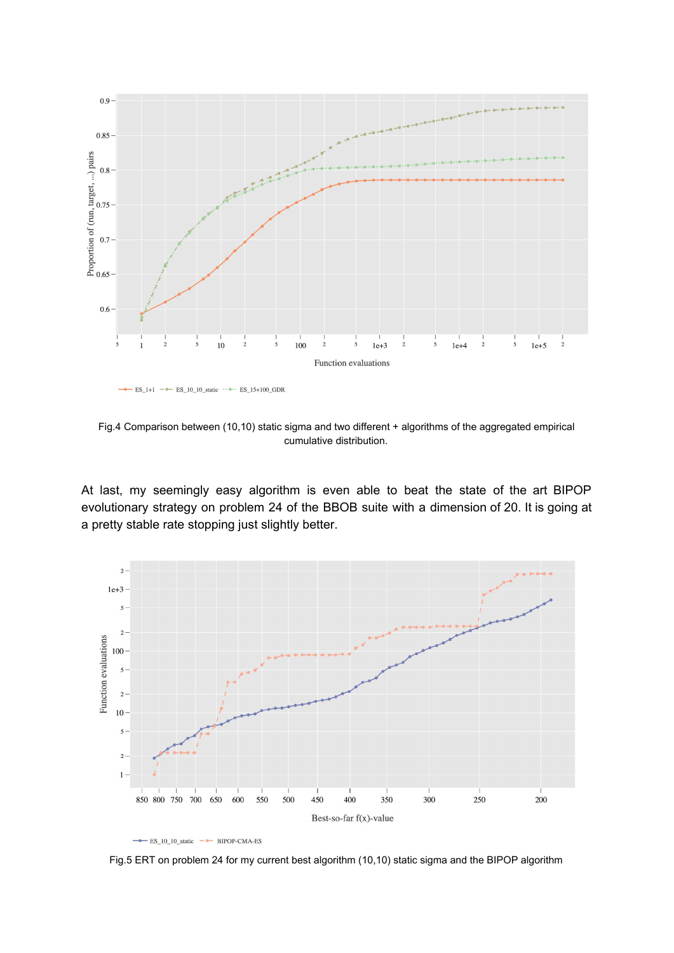

Fig.4 Comparison between (10,10) static sigma and two different + algorithms of the aggregated empirical cumulative distribution.

At last, my seemingly easy algorithm is even able to beat the state of the art BIPOP evolutionary strategy on problem 24 of the BBOB suite with a dimension of 20. It is going at a pretty stable rate stopping just slightly better.





Fig.5 ERT on problem 24 for my current best algorithm (10,10) static sigma and the BIPOP algorithm